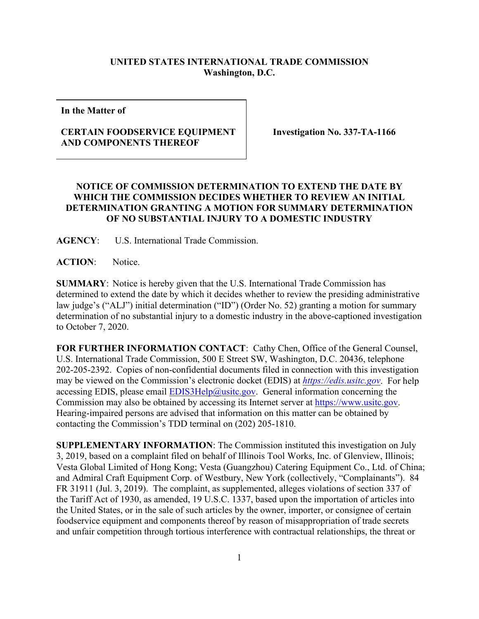## **UNITED STATES INTERNATIONAL TRADE COMMISSION Washington, D.C.**

**In the Matter of**

## **CERTAIN FOODSERVICE EQUIPMENT AND COMPONENTS THEREOF**

**Investigation No. 337-TA-1166**

## **NOTICE OF COMMISSION DETERMINATION TO EXTEND THE DATE BY WHICH THE COMMISSION DECIDES WHETHER TO REVIEW AN INITIAL DETERMINATION GRANTING A MOTION FOR SUMMARY DETERMINATION OF NO SUBSTANTIAL INJURY TO A DOMESTIC INDUSTRY**

**AGENCY**: U.S. International Trade Commission.

**ACTION**: Notice.

**SUMMARY**: Notice is hereby given that the U.S. International Trade Commission has determined to extend the date by which it decides whether to review the presiding administrative law judge's ("ALJ") initial determination ("ID") (Order No. 52) granting a motion for summary determination of no substantial injury to a domestic industry in the above-captioned investigation to October 7, 2020.

**FOR FURTHER INFORMATION CONTACT**: Cathy Chen, Office of the General Counsel, U.S. International Trade Commission, 500 E Street SW, Washington, D.C. 20436, telephone 202-205-2392. Copies of non-confidential documents filed in connection with this investigation may be viewed on the Commission's electronic docket (EDIS) at *[https://edis.usitc.gov](https://edis.usitc.gov/)*. For help accessing EDIS, please email  $EDIS3Help@usite.gov$ . General information concerning the Commission may also be obtained by accessing its Internet server at [https://www.usitc.gov.](https://www.usitc.gov/) Hearing-impaired persons are advised that information on this matter can be obtained by contacting the Commission's TDD terminal on (202) 205-1810.

**SUPPLEMENTARY INFORMATION**: The Commission instituted this investigation on July 3, 2019, based on a complaint filed on behalf of Illinois Tool Works, Inc. of Glenview, Illinois; Vesta Global Limited of Hong Kong; Vesta (Guangzhou) Catering Equipment Co., Ltd. of China; and Admiral Craft Equipment Corp. of Westbury, New York (collectively, "Complainants"). 84 FR 31911 (Jul. 3, 2019). The complaint, as supplemented, alleges violations of section 337 of the Tariff Act of 1930, as amended, 19 U.S.C. 1337, based upon the importation of articles into the United States, or in the sale of such articles by the owner, importer, or consignee of certain foodservice equipment and components thereof by reason of misappropriation of trade secrets and unfair competition through tortious interference with contractual relationships, the threat or